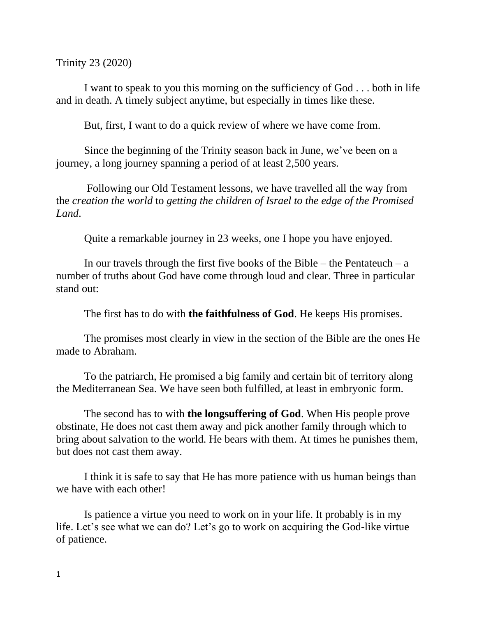Trinity 23 (2020)

I want to speak to you this morning on the sufficiency of God . . . both in life and in death. A timely subject anytime, but especially in times like these.

But, first, I want to do a quick review of where we have come from.

Since the beginning of the Trinity season back in June, we've been on a journey, a long journey spanning a period of at least 2,500 years.

Following our Old Testament lessons, we have travelled all the way from the *creation the world* to *getting the children of Israel to the edge of the Promised Land*.

Quite a remarkable journey in 23 weeks, one I hope you have enjoyed.

In our travels through the first five books of the Bible – the Pentateuch – a number of truths about God have come through loud and clear. Three in particular stand out:

The first has to do with **the faithfulness of God**. He keeps His promises.

The promises most clearly in view in the section of the Bible are the ones He made to Abraham.

To the patriarch, He promised a big family and certain bit of territory along the Mediterranean Sea. We have seen both fulfilled, at least in embryonic form.

The second has to with **the longsuffering of God**. When His people prove obstinate, He does not cast them away and pick another family through which to bring about salvation to the world. He bears with them. At times he punishes them, but does not cast them away.

I think it is safe to say that He has more patience with us human beings than we have with each other!

Is patience a virtue you need to work on in your life. It probably is in my life. Let's see what we can do? Let's go to work on acquiring the God-like virtue of patience.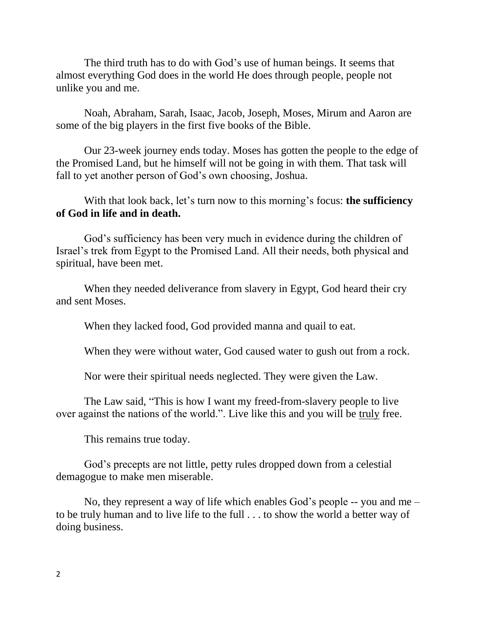The third truth has to do with God's use of human beings. It seems that almost everything God does in the world He does through people, people not unlike you and me.

Noah, Abraham, Sarah, Isaac, Jacob, Joseph, Moses, Mirum and Aaron are some of the big players in the first five books of the Bible.

Our 23-week journey ends today. Moses has gotten the people to the edge of the Promised Land, but he himself will not be going in with them. That task will fall to yet another person of God's own choosing, Joshua.

With that look back, let's turn now to this morning's focus: **the sufficiency of God in life and in death.**

God's sufficiency has been very much in evidence during the children of Israel's trek from Egypt to the Promised Land. All their needs, both physical and spiritual, have been met.

When they needed deliverance from slavery in Egypt, God heard their cry and sent Moses.

When they lacked food, God provided manna and quail to eat.

When they were without water, God caused water to gush out from a rock.

Nor were their spiritual needs neglected. They were given the Law.

The Law said, "This is how I want my freed-from-slavery people to live over against the nations of the world.". Live like this and you will be truly free.

This remains true today.

God's precepts are not little, petty rules dropped down from a celestial demagogue to make men miserable.

No, they represent a way of life which enables God's people -- you and me – to be truly human and to live life to the full . . . to show the world a better way of doing business.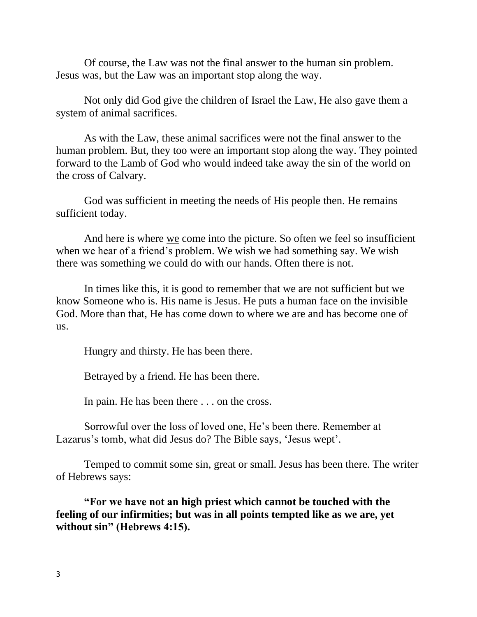Of course, the Law was not the final answer to the human sin problem. Jesus was, but the Law was an important stop along the way.

Not only did God give the children of Israel the Law, He also gave them a system of animal sacrifices.

As with the Law, these animal sacrifices were not the final answer to the human problem. But, they too were an important stop along the way. They pointed forward to the Lamb of God who would indeed take away the sin of the world on the cross of Calvary.

God was sufficient in meeting the needs of His people then. He remains sufficient today.

And here is where we come into the picture. So often we feel so insufficient when we hear of a friend's problem. We wish we had something say. We wish there was something we could do with our hands. Often there is not.

In times like this, it is good to remember that we are not sufficient but we know Someone who is. His name is Jesus. He puts a human face on the invisible God. More than that, He has come down to where we are and has become one of us.

Hungry and thirsty. He has been there.

Betrayed by a friend. He has been there.

In pain. He has been there . . . on the cross.

Sorrowful over the loss of loved one, He's been there. Remember at Lazarus's tomb, what did Jesus do? The Bible says, 'Jesus wept'.

Temped to commit some sin, great or small. Jesus has been there. The writer of Hebrews says:

**"For we have not an high priest which cannot be touched with the feeling of our infirmities; but was in all points tempted like as we are, yet without sin" (Hebrews 4:15).**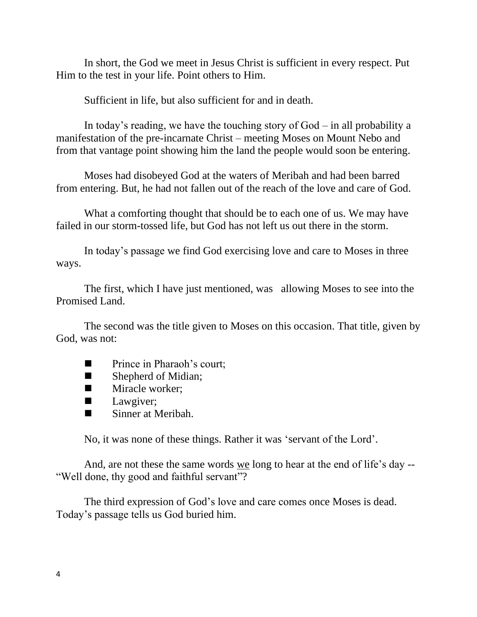In short, the God we meet in Jesus Christ is sufficient in every respect. Put Him to the test in your life. Point others to Him.

Sufficient in life, but also sufficient for and in death.

In today's reading, we have the touching story of  $God - in$  all probability a manifestation of the pre-incarnate Christ – meeting Moses on Mount Nebo and from that vantage point showing him the land the people would soon be entering.

Moses had disobeyed God at the waters of Meribah and had been barred from entering. But, he had not fallen out of the reach of the love and care of God.

What a comforting thought that should be to each one of us. We may have failed in our storm-tossed life, but God has not left us out there in the storm.

In today's passage we find God exercising love and care to Moses in three ways.

The first, which I have just mentioned, was allowing Moses to see into the Promised Land.

The second was the title given to Moses on this occasion. That title, given by God, was not:

- Prince in Pharaoh's court;
- Shepherd of Midian;
- Miracle worker;
- Lawgiver;
- Sinner at Meribah.

No, it was none of these things. Rather it was 'servant of the Lord'.

And, are not these the same words we long to hear at the end of life's day -- "Well done, thy good and faithful servant"?

The third expression of God's love and care comes once Moses is dead. Today's passage tells us God buried him.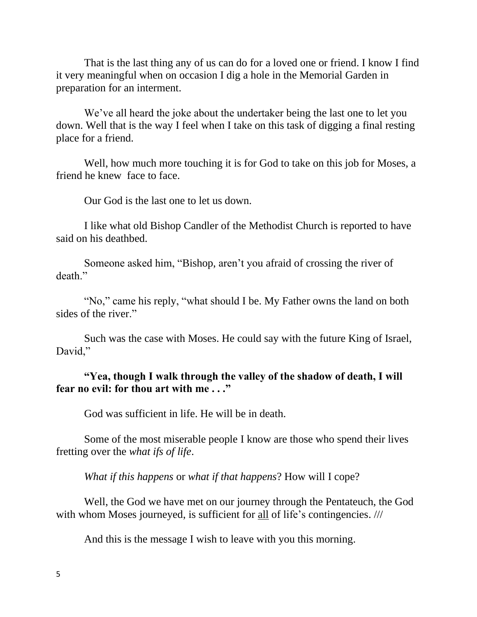That is the last thing any of us can do for a loved one or friend. I know I find it very meaningful when on occasion I dig a hole in the Memorial Garden in preparation for an interment.

We've all heard the joke about the undertaker being the last one to let you down. Well that is the way I feel when I take on this task of digging a final resting place for a friend.

Well, how much more touching it is for God to take on this job for Moses, a friend he knew face to face.

Our God is the last one to let us down.

I like what old Bishop Candler of the Methodist Church is reported to have said on his deathbed.

Someone asked him, "Bishop, aren't you afraid of crossing the river of death"

"No," came his reply, "what should I be. My Father owns the land on both sides of the river."

Such was the case with Moses. He could say with the future King of Israel, David,"

## **"Yea, though I walk through the valley of the shadow of death, I will fear no evil: for thou art with me . . ."**

God was sufficient in life. He will be in death.

Some of the most miserable people I know are those who spend their lives fretting over the *what ifs of life*.

*What if this happens* or *what if that happens*? How will I cope?

Well, the God we have met on our journey through the Pentateuch, the God with whom Moses journeyed, is sufficient for all of life's contingencies. ///

And this is the message I wish to leave with you this morning.